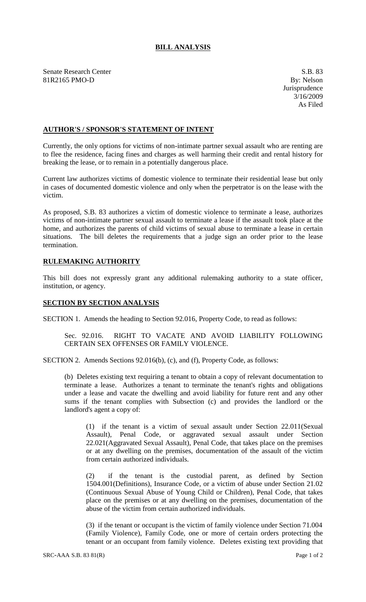## **BILL ANALYSIS**

Senate Research Center S.B. 83<br>
81R2165 PMO-D By: Nelson 81R2165 PMO-D

## **AUTHOR'S / SPONSOR'S STATEMENT OF INTENT**

Currently, the only options for victims of non-intimate partner sexual assault who are renting are to flee the residence, facing fines and charges as well harming their credit and rental history for breaking the lease, or to remain in a potentially dangerous place.

Current law authorizes victims of domestic violence to terminate their residential lease but only in cases of documented domestic violence and only when the perpetrator is on the lease with the victim.

As proposed, S.B. 83 authorizes a victim of domestic violence to terminate a lease, authorizes victims of non-intimate partner sexual assault to terminate a lease if the assault took place at the home, and authorizes the parents of child victims of sexual abuse to terminate a lease in certain situations. The bill deletes the requirements that a judge sign an order prior to the lease termination.

## **RULEMAKING AUTHORITY**

This bill does not expressly grant any additional rulemaking authority to a state officer, institution, or agency.

## **SECTION BY SECTION ANALYSIS**

SECTION 1. Amends the heading to Section 92.016, Property Code, to read as follows:

Sec. 92.016. RIGHT TO VACATE AND AVOID LIABILITY FOLLOWING CERTAIN SEX OFFENSES OR FAMILY VIOLENCE.

SECTION 2. Amends Sections 92.016(b), (c), and (f), Property Code, as follows:

(b) Deletes existing text requiring a tenant to obtain a copy of relevant documentation to terminate a lease. Authorizes a tenant to terminate the tenant's rights and obligations under a lease and vacate the dwelling and avoid liability for future rent and any other sums if the tenant complies with Subsection (c) and provides the landlord or the landlord's agent a copy of:

(1) if the tenant is a victim of sexual assault under Section 22.011(Sexual Assault), Penal Code, or aggravated sexual assault under Section 22.021(Aggravated Sexual Assault), Penal Code, that takes place on the premises or at any dwelling on the premises, documentation of the assault of the victim from certain authorized individuals.

(2) if the tenant is the custodial parent, as defined by Section 1504.001(Definitions), Insurance Code, or a victim of abuse under Section 21.02 (Continuous Sexual Abuse of Young Child or Children), Penal Code, that takes place on the premises or at any dwelling on the premises, documentation of the abuse of the victim from certain authorized individuals.

(3) if the tenant or occupant is the victim of family violence under Section 71.004 (Family Violence), Family Code, one or more of certain orders protecting the tenant or an occupant from family violence. Deletes existing text providing that